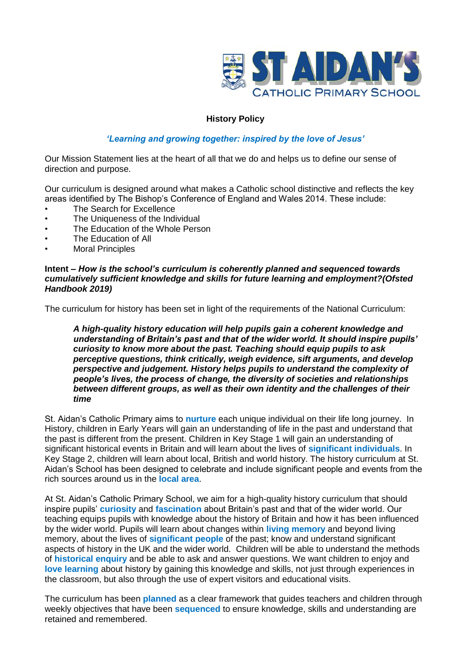

## **History Policy**

## *'Learning and growing together: inspired by the love of Jesus'*

Our Mission Statement lies at the heart of all that we do and helps us to define our sense of direction and purpose.

Our curriculum is designed around what makes a Catholic school distinctive and reflects the key areas identified by The Bishop's Conference of England and Wales 2014. These include:

- The Search for Excellence
- The Uniqueness of the Individual
- The Education of the Whole Person
- The Education of All
- **Moral Principles**

#### **Intent –** *How is the school's curriculum is coherently planned and sequenced towards cumulatively sufficient knowledge and skills for future learning and employment?(Ofsted Handbook 2019)*

The curriculum for history has been set in light of the requirements of the National Curriculum:

*A high-quality history education will help pupils gain a coherent knowledge and understanding of Britain's past and that of the wider world. It should inspire pupils' curiosity to know more about the past. Teaching should equip pupils to ask perceptive questions, think critically, weigh evidence, sift arguments, and develop perspective and judgement. History helps pupils to understand the complexity of people's lives, the process of change, the diversity of societies and relationships between different groups, as well as their own identity and the challenges of their time*

St. Aidan's Catholic Primary aims to **nurture** each unique individual on their life long journey. In History, children in Early Years will gain an understanding of life in the past and understand that the past is different from the present. Children in Key Stage 1 will gain an understanding of significant historical events in Britain and will learn about the lives of **significant individuals**. In Key Stage 2, children will learn about local, British and world history. The history curriculum at St. Aidan's School has been designed to celebrate and include significant people and events from the rich sources around us in the **local area**.

At St. Aidan's Catholic Primary School, we aim for a high-quality history curriculum that should inspire pupils' **curiosity** and **fascination** about Britain's past and that of the wider world. Our teaching equips pupils with knowledge about the history of Britain and how it has been influenced by the wider world. Pupils will learn about changes within **living memory** and beyond living memory, about the lives of **significant people** of the past; know and understand significant aspects of history in the UK and the wider world. Children will be able to understand the methods of **historical enquiry** and be able to ask and answer questions. We want children to enjoy and **love learning** about history by gaining this knowledge and skills, not just through experiences in the classroom, but also through the use of expert visitors and educational visits.

The curriculum has been **planned** as a clear framework that guides teachers and children through weekly objectives that have been **sequenced** to ensure knowledge, skills and understanding are retained and remembered.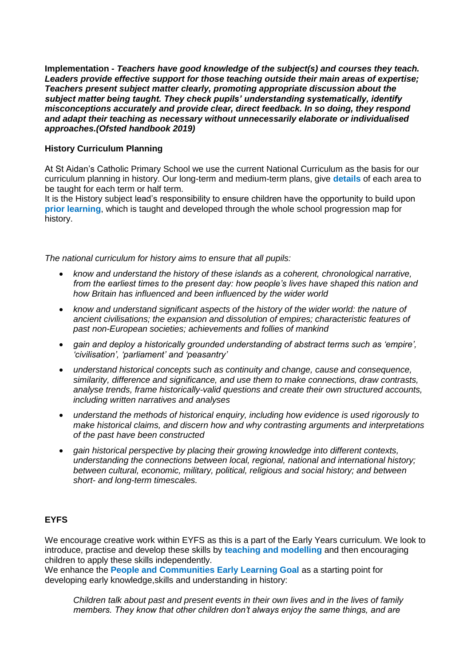**Implementation -** *Teachers have good knowledge of the subject(s) and courses they teach. Leaders provide effective support for those teaching outside their main areas of expertise; Teachers present subject matter clearly, promoting appropriate discussion about the subject matter being taught. They check pupils' understanding systematically, identify misconceptions accurately and provide clear, direct feedback. In so doing, they respond and adapt their teaching as necessary without unnecessarily elaborate or individualised approaches.(Ofsted handbook 2019)*

#### **History Curriculum Planning**

At St Aidan's Catholic Primary School we use the current National Curriculum as the basis for our curriculum planning in history. Our long-term and medium-term plans, give **details** of each area to be taught for each term or half term.

It is the History subject lead's responsibility to ensure children have the opportunity to build upon **prior learning**, which is taught and developed through the whole school progression map for history.

*The national curriculum for history aims to ensure that all pupils:* 

- *know and understand the history of these islands as a coherent, chronological narrative, from the earliest times to the present day: how people's lives have shaped this nation and how Britain has influenced and been influenced by the wider world*
- *know and understand significant aspects of the history of the wider world: the nature of ancient civilisations; the expansion and dissolution of empires; characteristic features of past non-European societies; achievements and follies of mankind*
- *gain and deploy a historically grounded understanding of abstract terms such as 'empire', 'civilisation', 'parliament' and 'peasantry'*
- *understand historical concepts such as continuity and change, cause and consequence, similarity, difference and significance, and use them to make connections, draw contrasts, analyse trends, frame historically-valid questions and create their own structured accounts, including written narratives and analyses*
- *understand the methods of historical enquiry, including how evidence is used rigorously to make historical claims, and discern how and why contrasting arguments and interpretations of the past have been constructed*
- *gain historical perspective by placing their growing knowledge into different contexts, understanding the connections between local, regional, national and international history; between cultural, economic, military, political, religious and social history; and between short- and long-term timescales.*

# **EYFS**

We encourage creative work within EYFS as this is a part of the Early Years curriculum. We look to introduce, practise and develop these skills by **teaching and modelling** and then encouraging children to apply these skills independently.

We enhance the **People and Communities Early Learning Goal** as a starting point for developing early knowledge,skills and understanding in history:

*Children talk about past and present events in their own lives and in the lives of family members. They know that other children don't always enjoy the same things, and are*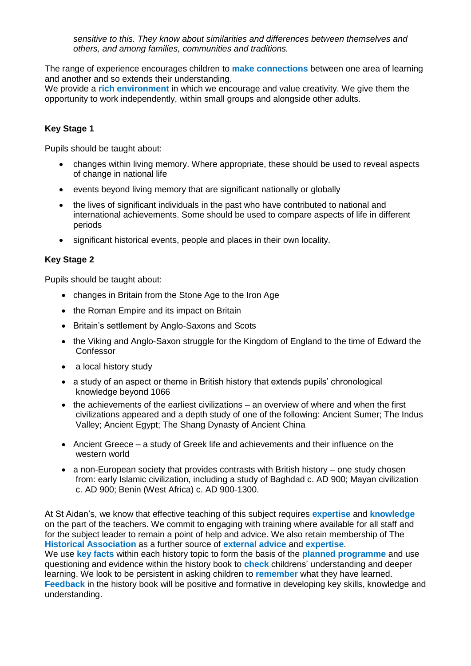*sensitive to this. They know about similarities and differences between themselves and others, and among families, communities and traditions.*

The range of experience encourages children to **make connections** between one area of learning and another and so extends their understanding.

We provide a **rich environment** in which we encourage and value creativity. We give them the opportunity to work independently, within small groups and alongside other adults.

## **Key Stage 1**

Pupils should be taught about:

- changes within living memory. Where appropriate, these should be used to reveal aspects of change in national life
- events beyond living memory that are significant nationally or globally
- the lives of significant individuals in the past who have contributed to national and international achievements. Some should be used to compare aspects of life in different periods
- significant historical events, people and places in their own locality.

#### **Key Stage 2**

Pupils should be taught about:

- changes in Britain from the Stone Age to the Iron Age
- the Roman Empire and its impact on Britain
- Britain's settlement by Anglo-Saxons and Scots
- the Viking and Anglo-Saxon struggle for the Kingdom of England to the time of Edward the Confessor
- a local history study
- a study of an aspect or theme in British history that extends pupils' chronological knowledge beyond 1066
- $\bullet$  the achievements of the earliest civilizations an overview of where and when the first civilizations appeared and a depth study of one of the following: Ancient Sumer; The Indus Valley; Ancient Egypt; The Shang Dynasty of Ancient China
- Ancient Greece a study of Greek life and achievements and their influence on the western world
- a non-European society that provides contrasts with British history one study chosen from: early Islamic civilization, including a study of Baghdad c. AD 900; Mayan civilization c. AD 900; Benin (West Africa) c. AD 900-1300.

At St Aidan's, we know that effective teaching of this subject requires **expertise** and **knowledge** on the part of the teachers. We commit to engaging with training where available for all staff and for the subject leader to remain a point of help and advice. We also retain membership of The **Historical Association** as a further source of **external advice** and **expertise**.

We use **key facts** within each history topic to form the basis of the **planned programme** and use questioning and evidence within the history book to **check** childrens' understanding and deeper learning. We look to be persistent in asking children to **remember** what they have learned. **Feedback** in the history book will be positive and formative in developing key skills, knowledge and understanding.